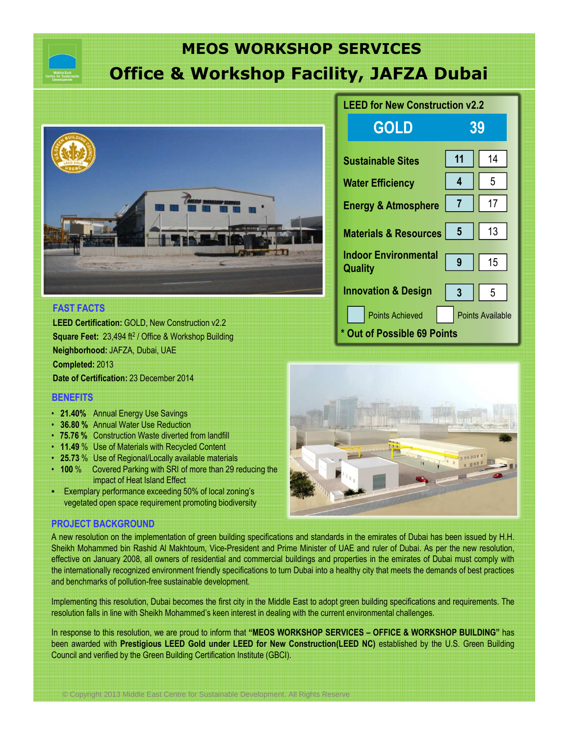# **Office & Workshop Facility, JAFZA Dubai MEOS WORKSHOP SERVICES**



#### **FAST FACTS**

**LEED Certification:** GOLD, New Construction v2.2 Square Feet: 23,494 ft<sup>2</sup> / Office & Workshop Building **Neighborhood:** JAFZA, Dubai, UAE **Completed:** 2013 **Date of Certification:** 23 December 2014

#### **BENEFITS**

- **21.40%** Annual Energy Use Savings
- **36.80 %** Annual Water Use Reduction
- **75.76 %** Construction Waste diverted from landfill
- **11.49** % Use of Materials with Recycled Content
- **25.73** % Use of Regional/Locally available materials
- **100** % Covered Parking with SRI of more than 29 reducing the impact of Heat Island Effect
- Exemplary performance exceeding 50% of local zoning's vegetated open space requirement promoting biodiversity

#### **PROJECT BACKGROUND**

A new resolution on the implementation of green building specifications and standards in the emirates of Dubai has been issued by H.H. Sheikh Mohammed bin Rashid Al Makhtoum, Vice-President and Prime Minister of UAE and ruler of Dubai. As per the new resolution, effective on January 2008, all owners of residential and commercial buildings and properties in the emirates of Dubai must comply with the internationally recognized environment friendly specifications to turn Dubai into a healthy city that meets the demands of best practices and benchmarks of pollution-free sustainable development.

Implementing this resolution, Dubai becomes the first city in the Middle East to adopt green building specifications and requirements. The resolution falls in line with Sheikh Mohammed's keen interest in dealing with the current environmental challenges.

In response to this resolution, we are proud to inform that **"MEOS WORKSHOP SERVICES – OFFICE & WORKSHOP BUILDING"** has been awarded with **Prestigious LEED Gold under LEED for New Construction(LEED NC)** established by the U.S. Green Building Council and verified by the Green Building Certification Institute (GBCI).

| <b>LEED for New Construction v2.2</b>  |    |                         |  |
|----------------------------------------|----|-------------------------|--|
| <b>GOLD</b>                            |    | 39                      |  |
| <b>Sustainable Sites</b>               | 11 | 14                      |  |
| <b>Water Efficiency</b>                | 4  | 5                       |  |
| <b>Energy &amp; Atmosphere</b>         | 7  | 17                      |  |
| <b>Materials &amp; Resources</b>       | 5  | 13                      |  |
| <b>Indoor Environmental</b><br>Quality | 9  | 15                      |  |
| <b>Innovation &amp; Design</b>         | 3  | 5                       |  |
| <b>Points Achieved</b>                 |    | <b>Points Available</b> |  |



**\* Out of Possible 69 Points**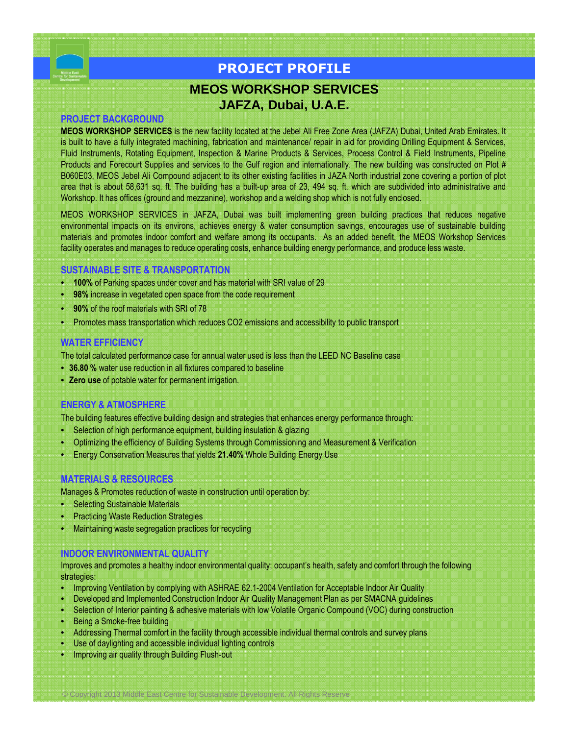

## **PROJECT PROFILE**

## **MEOS WORKSHOP SERVICES JAFZA, Dubai, U.A.E.**

#### **PROJECT BACKGROUND**

**MEOS WORKSHOP SERVICES** is the new facility located at the Jebel Ali Free Zone Area (JAFZA) Dubai, United Arab Emirates. It is built to have a fully integrated machining, fabrication and maintenance/ repair in aid for providing Drilling Equipment & Services, Fluid Instruments, Rotating Equipment, Inspection & Marine Products & Services, Process Control & Field Instruments, Pipeline Products and Forecourt Supplies and services to the Gulf region and internationally. The new building was constructed on Plot # B060E03, MEOS Jebel Ali Compound adjacent to its other existing facilities in JAZA North industrial zone covering a portion of plot area that is about 58,631 sq. ft. The building has a built-up area of 23, 494 sq. ft. which are subdivided into administrative and Workshop. It has offices (ground and mezzanine), workshop and a welding shop which is not fully enclosed.

MEOS WORKSHOP SERVICES in JAFZA, Dubai was built implementing green building practices that reduces negative environmental impacts on its environs, achieves energy & water consumption savings, encourages use of sustainable building materials and promotes indoor comfort and welfare among its occupants. As an added benefit, the MEOS Workshop Services facility operates and manages to reduce operating costs, enhance building energy performance, and produce less waste.

#### **SUSTAINABLE SITE & TRANSPORTATION**

- **100%** of Parking spaces under cover and has material with SRI value of 29
- **98%** increase in vegetated open space from the code requirement
- **90%** of the roof materials with SRI of 78
- Promotes mass transportation which reduces CO2 emissions and accessibility to public transport

#### **WATER EFFICIENCY**

The total calculated performance case for annual water used is less than the LEED NC Baseline case

- **36.80 %** water use reduction in all fixtures compared to baseline
- **Zero use** of potable water for permanent irrigation.

#### **ENERGY & ATMOSPHERE**

The building features effective building design and strategies that enhances energy performance through:

- Selection of high performance equipment, building insulation & glazing
- Optimizing the efficiency of Building Systems through Commissioning and Measurement & Verification
- Energy Conservation Measures that yields **21.40%** Whole Building Energy Use

#### **MATERIALS & RESOURCES**

Manages & Promotes reduction of waste in construction until operation by:

- Selecting Sustainable Materials
- Practicing Waste Reduction Strategies
- Maintaining waste segregation practices for recycling

#### **INDOOR ENVIRONMENTAL QUALITY**

Improves and promotes a healthy indoor environmental quality; occupant's health, safety and comfort through the following strategies:

- Improving Ventilation by complying with ASHRAE 62.1-2004 Ventilation for Acceptable Indoor Air Quality
- Developed and Implemented Construction Indoor Air Quality Management Plan as per SMACNA guidelines
- Selection of Interior painting & adhesive materials with low Volatile Organic Compound (VOC) during construction
- Being a Smoke-free building
- Addressing Thermal comfort in the facility through accessible individual thermal controls and survey plans
- Use of daylighting and accessible individual lighting controls
- Improving air quality through Building Flush-out